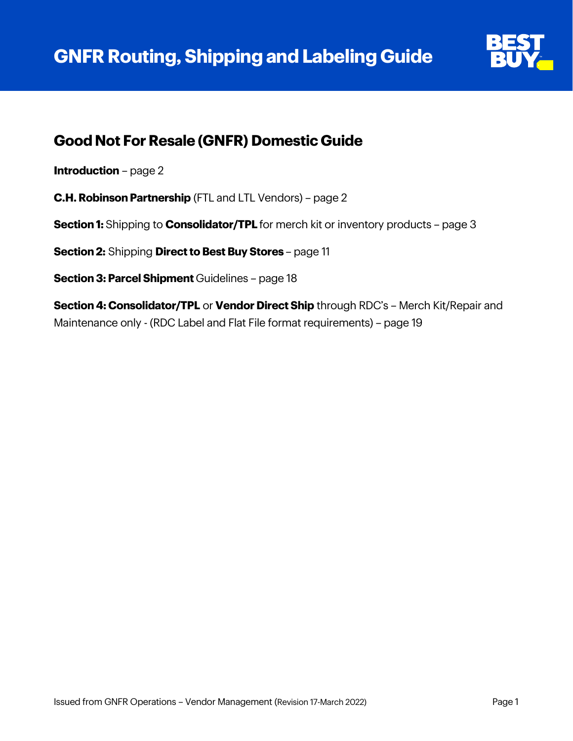

## **Good Not For Resale (GNFR) Domestic Guide**

**Introduction** – page 2

**C.H. Robinson Partnership** (FTL and LTL Vendors) – page 2

**Section 1:** Shipping to **Consolidator/TPL** for merch kit or inventory products - page 3

**Section 2:** Shipping **Direct to Best Buy Stores** - page 11

**Section 3: Parcel Shipment** Guidelines – page 18

**Section 4: Consolidator/TPL** or **Vendor Direct Ship** through RDC's – Merch Kit/Repair and Maintenance only - (RDC Label and Flat File format requirements) – page 19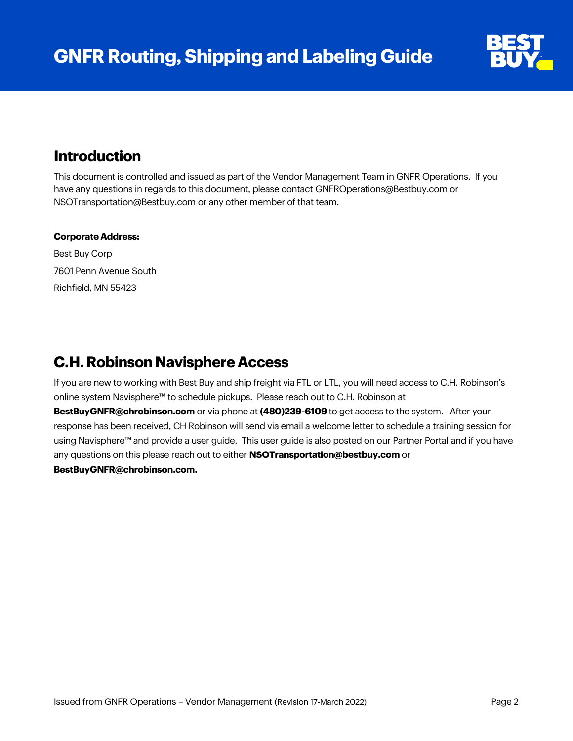

### **Introduction**

This document is controlled and issued as part of the Vendor Management Team in GNFR Operations. If you have any questions in regards to this document, please contact [GNFROperations@Bestbuy.com](mailto:GNFROperations@Bestbuy.com) or [NSOTransportation@Bestbuy.com](mailto:NSOTransportation@Bestbuy.com) or any other member of that team.

#### **Corporate Address:**

Best Buy Corp 7601 Penn Avenue South Richfield, MN 55423

### **C.H. Robinson Navisphere Access**

If you are new to working with Best Buy and ship freight via FTL or LTL, you will need access to C.H. Robinson's online system Navisphere™ to schedule pickups. Please reach out to C.H. Robinson at

**[BestBuyGNFR@chrobinson.com](mailto:BestBuyGNFR@chrobinson.com)** or via phone at **(480)239-6109** to get access to the system. After your response has been received, CH Robinson will send via email a welcome letter to schedule a training session for using Navisphere™ and provide a user guide. This user guide is also posted on our Partner Portal and if you have any questions on this please reach out to either **[NSOTransportation@bestbuy.com](mailto:NSOTransportation@bestbuy.com)** or **[BestBuyGNFR@chrobinson.com.](mailto:BestBuyGNFR@chrobinson.com)**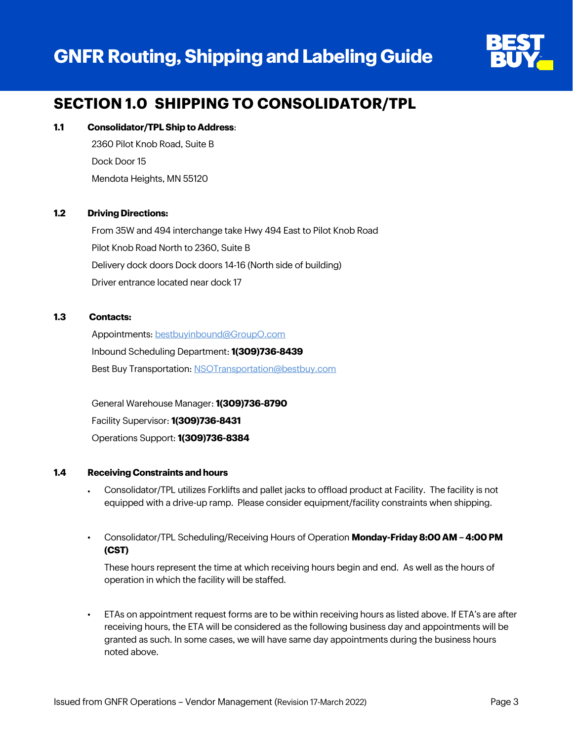# **GNFR Routing, Shipping and Labeling Guide**



## **SECTION 1.0 SHIPPING TO CONSOLIDATOR/TPL**

#### **1.1 Consolidator/TPL Ship to Address**:

2360 Pilot Knob Road, Suite B Dock Door 15 Mendota Heights, MN 55120

#### **1.2 Driving Directions:**

From 35W and 494 interchange take Hwy 494 East to Pilot Knob Road Pilot Knob Road North to 2360, Suite B Delivery dock doors Dock doors 14-16 (North side of building) Driver entrance located near dock 17

#### **1.3 Contacts:**

Appointments[: bestbuyinbound@GroupO.com](mailto:bestbuyinbound@GroupO.com?subject=Delivery%20Appointment%20Request%20-%20Best%20Buy%20GNFR%20Goods) Inbound Scheduling Department: **1(309)736-8439** Best Buy Transportation[: NSOTransportation@bestbuy.com](mailto:NSOTransportation@bestbuy.com?subject=Shipment%20Request%20-%20GNFR%20Goods)

General Warehouse Manager: **1(309)736-8790**  Facility Supervisor: **1(309)736-8431** Operations Support: **1(309)736-8384**

#### **1.4 Receiving Constraints and hours**

- Consolidator/TPL utilizes Forklifts and pallet jacks to offload product at Facility. The facility is not equipped with a drive-up ramp. Please consider equipment/facility constraints when shipping.
- Consolidator/TPL Scheduling/Receiving Hours of Operation **Monday-Friday 8:00 AM – 4:00 PM (CST)**

These hours represent the time at which receiving hours begin and end. As well as the hours of operation in which the facility will be staffed.

• ETAs on appointment request forms are to be within receiving hours as listed above. If ETA's are after receiving hours, the ETA will be considered as the following business day and appointments will be granted as such. In some cases, we will have same day appointments during the business hours noted above.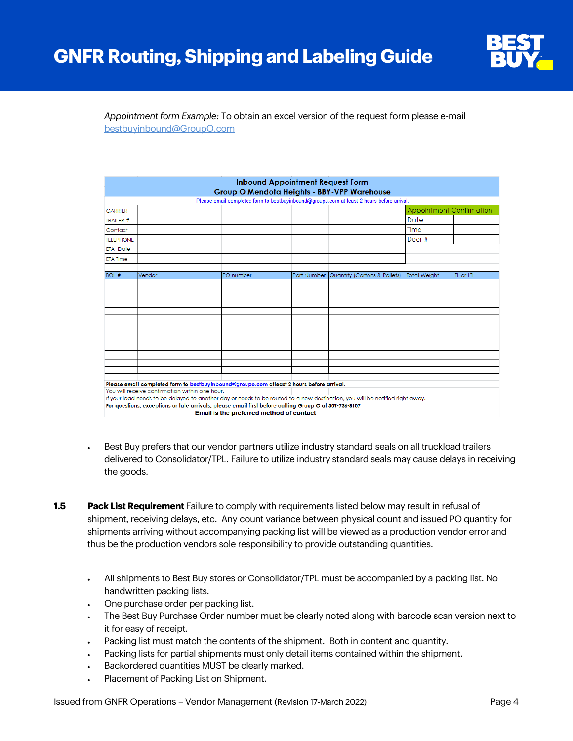

#### *Appointment form Example:* To obtain an excel version of the request form please e-mail [bestbuyinbound@GroupO.com](mailto:bestbuyinbound@GroupO.com?subject=Appointment%20Request%20Form)

|                  |                                                |                                                                                                                              | <b>Inbound Appointment Request Form</b> | Group O Mendota Heights - BBY-VPP Warehouse |              |                                 |
|------------------|------------------------------------------------|------------------------------------------------------------------------------------------------------------------------------|-----------------------------------------|---------------------------------------------|--------------|---------------------------------|
|                  |                                                | Please email completed form to bestbuyinbound@groupo.com at least 2 hours before arrival.                                    |                                         |                                             |              |                                 |
| <b>CARRIER</b>   |                                                |                                                                                                                              |                                         |                                             |              | <b>Appointment Confirmation</b> |
| TRAILER #        |                                                |                                                                                                                              |                                         |                                             | Date         |                                 |
| Contact          |                                                |                                                                                                                              |                                         |                                             | Time         |                                 |
| <b>TELEPHONE</b> |                                                |                                                                                                                              |                                         |                                             | Door #       |                                 |
| <b>ETA</b> Date  |                                                |                                                                                                                              |                                         |                                             |              |                                 |
| <b>ETA Time</b>  |                                                |                                                                                                                              |                                         |                                             |              |                                 |
| <b>BOL#</b>      | Vendor                                         |                                                                                                                              |                                         |                                             |              |                                 |
|                  |                                                | PO number                                                                                                                    | Part Number                             | <b>Quantity (Cartons &amp; Pallets)</b>     | Total Weight | <b>TL</b> or LTL                |
|                  |                                                |                                                                                                                              |                                         |                                             |              |                                 |
|                  |                                                |                                                                                                                              |                                         |                                             |              |                                 |
|                  |                                                |                                                                                                                              |                                         |                                             |              |                                 |
|                  |                                                |                                                                                                                              |                                         |                                             |              |                                 |
|                  |                                                |                                                                                                                              |                                         |                                             |              |                                 |
|                  |                                                |                                                                                                                              |                                         |                                             |              |                                 |
|                  |                                                |                                                                                                                              |                                         |                                             |              |                                 |
|                  |                                                |                                                                                                                              |                                         |                                             |              |                                 |
|                  |                                                |                                                                                                                              |                                         |                                             |              |                                 |
|                  |                                                |                                                                                                                              |                                         |                                             |              |                                 |
|                  |                                                |                                                                                                                              |                                         |                                             |              |                                 |
|                  |                                                |                                                                                                                              |                                         |                                             |              |                                 |
|                  |                                                | Please email completed form to bestbuyinbound@groupo.com atleast 2 hours before arrival.                                     |                                         |                                             |              |                                 |
|                  | You will receive confirmation within one hour. |                                                                                                                              |                                         |                                             |              |                                 |
|                  |                                                | If your load needs to be delayed to another day or needs to be routed to a new destination, you will be notified right away. |                                         |                                             |              |                                 |
|                  |                                                | For questions, exceptions or late arrivals, please email first before calling Group O at 309-736-8107                        |                                         |                                             |              |                                 |
|                  |                                                | Email is the preferred method of contact                                                                                     |                                         |                                             |              |                                 |

- Best Buy prefers that our vendor partners utilize industry standard seals on all truckload trailers delivered to Consolidator/TPL. Failure to utilize industry standard seals may cause delays in receiving the goods.
- **1.5 Pack List Requirement** Failure to comply with requirements listed below may result in refusal of shipment, receiving delays, etc. Any count variance between physical count and issued PO quantity for shipments arriving without accompanying packing list will be viewed as a production vendor error and thus be the production vendors sole responsibility to provide outstanding quantities.
	- All shipments to Best Buy stores or Consolidator/TPL must be accompanied by a packing list. No handwritten packing lists.
	- One purchase order per packing list.
	- The Best Buy Purchase Order number must be clearly noted along with barcode scan version next to it for easy of receipt.
	- Packing list must match the contents of the shipment. Both in content and quantity.
	- Packing lists for partial shipments must only detail items contained within the shipment.
	- Backordered quantities MUST be clearly marked.
	- Placement of Packing List on Shipment.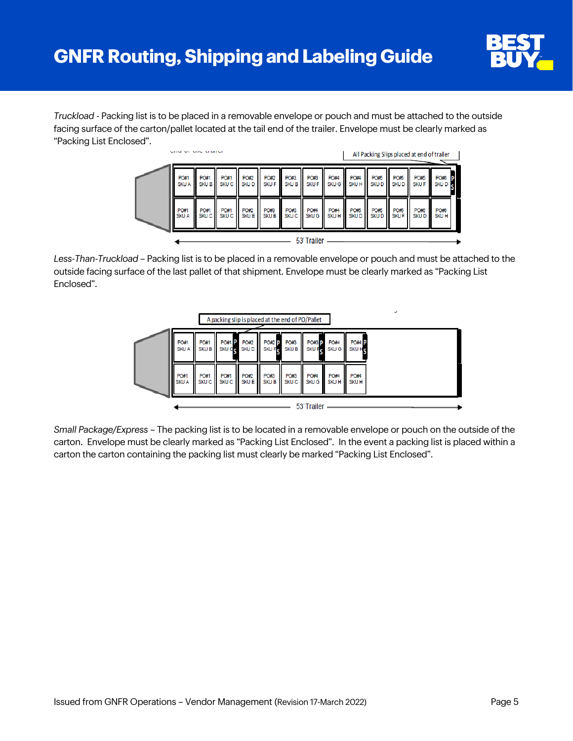

*Truckload* - Packing list is to be placed in a removable envelope or pouch and must be attached to the outside facing surface of the carton/pallet located at the tail end of the trailer. Envelope must be clearly marked as "Packing List Enclosed".



*Less-Than-Truckload* – Packing list is to be placed in a removable envelope or pouch and must be attached to the outside facing surface of the last pallet of that shipment. Envelope must be clearly marked as "Packing List Enclosed".



*Small Package/Express* – The packing list is to be located in a removable envelope or pouch on the outside of the carton. Envelope must be clearly marked as "Packing List Enclosed". In the event a packing list is placed within a carton the carton containing the packing list must clearly be marked "Packing List Enclosed".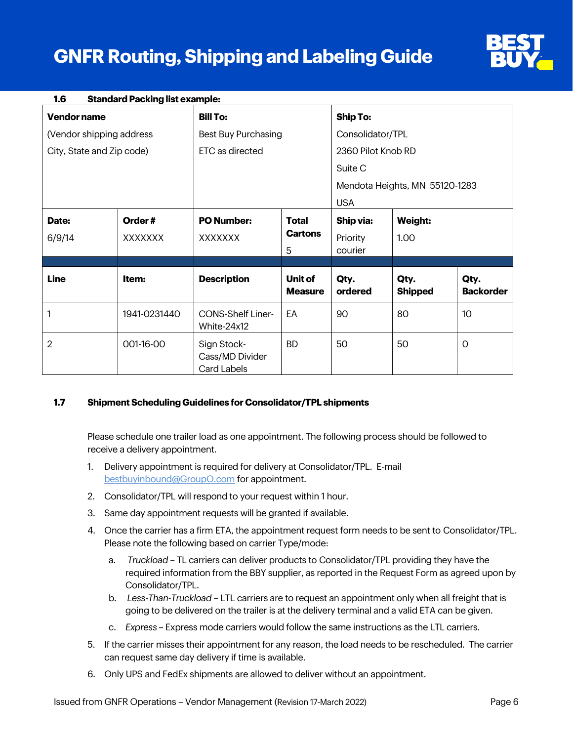# **GNFR Routing, Shipping and Labeling Guide**



| 1.6                       | <b>Standard Packing list example:</b> |                                               |                           |                    |                                |                          |
|---------------------------|---------------------------------------|-----------------------------------------------|---------------------------|--------------------|--------------------------------|--------------------------|
| Vendor name               |                                       | <b>Bill To:</b>                               |                           | <b>Ship To:</b>    |                                |                          |
| (Vendor shipping address  |                                       | <b>Best Buy Purchasing</b>                    |                           | Consolidator/TPL   |                                |                          |
| City, State and Zip code) |                                       | ETC as directed                               |                           | 2360 Pilot Knob RD |                                |                          |
|                           |                                       |                                               |                           | Suite C            |                                |                          |
|                           |                                       |                                               |                           |                    | Mendota Heights, MN 55120-1283 |                          |
|                           |                                       |                                               |                           | <b>USA</b>         |                                |                          |
| Date:                     | Order#                                | <b>PO Number:</b>                             | <b>Total</b>              | Ship via:          | <b>Weight:</b>                 |                          |
| 6/9/14                    | <b>XXXXXXX</b>                        | XXXXXXX                                       | <b>Cartons</b>            | Priority           | 1.00                           |                          |
|                           |                                       |                                               | 5                         | courier            |                                |                          |
| <b>Line</b>               | Item:                                 | <b>Description</b>                            | Unit of<br><b>Measure</b> | Qty.<br>ordered    | Qty.<br><b>Shipped</b>         | Qty.<br><b>Backorder</b> |
| 1                         | 1941-0231440                          | <b>CONS-Shelf Liner-</b><br>White-24x12       | EA                        | 90                 | 80                             | 10 <sup>°</sup>          |
| $\overline{2}$            | 001-16-00                             | Sign Stock-<br>Cass/MD Divider<br>Card Labels | <b>BD</b>                 | 50                 | 50                             | $\Omega$                 |

#### **1.7 Shipment Scheduling Guidelines for Consolidator/TPL shipments**

Please schedule one trailer load as one appointment. The following process should be followed to receive a delivery appointment.

- 1. Delivery appointment is required for delivery at Consolidator/TPL. E-mail [bestbuyinbound@GroupO.com](mailto:bestbuyinbound@GroupO.com?subject=Delivery%20Appointment%20Request%20-%20Best%20Buy%20GNFR%20Goods) for appointment.
- 2. Consolidator/TPL will respond to your request within 1 hour.
- 3. Same day appointment requests will be granted if available.
- 4. Once the carrier has a firm ETA, the appointment request form needs to be sent to Consolidator/TPL. Please note the following based on carrier Type/mode:
	- a. *Truckload* TL carriers can deliver products to Consolidator/TPL providing they have the required information from the BBY supplier, as reported in the Request Form as agreed upon by Consolidator/TPL.
	- b. *Less-Than-Truckload*  LTL carriers are to request an appointment only when all freight that is going to be delivered on the trailer is at the delivery terminal and a valid ETA can be given.
	- c. *Express* Express mode carriers would follow the same instructions as the LTL carriers.
- 5. If the carrier misses their appointment for any reason, the load needs to be rescheduled. The carrier can request same day delivery if time is available.
- 6. Only UPS and FedEx shipments are allowed to deliver without an appointment.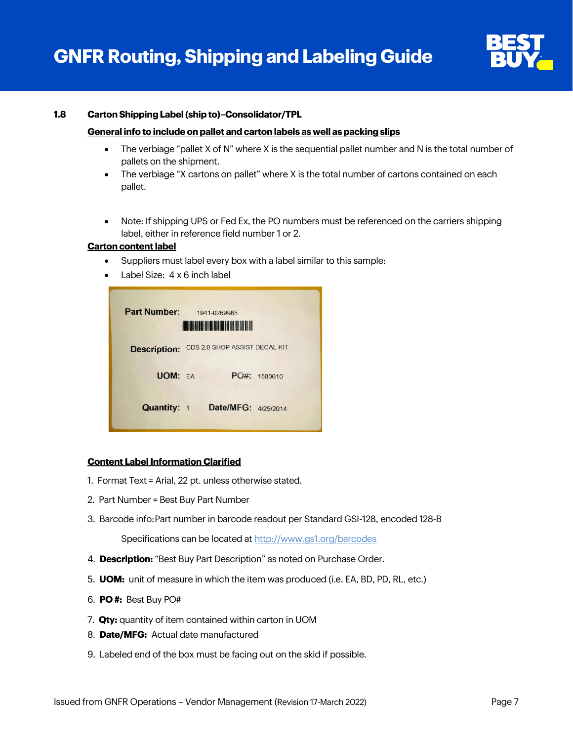

#### **1.8 Carton Shipping Label (ship to)–Consolidator/TPL**

#### **General info to include on pallet and carton labels as well as packing slips**

- The verbiage "pallet X of N" where X is the sequential pallet number and N is the total number of pallets on the shipment.
- The verbiage "X cartons on pallet" where X is the total number of cartons contained on each pallet.
- Note: If shipping UPS or Fed Ex, the PO numbers must be referenced on the carriers shipping label, either in reference field number 1 or 2.

#### **Carton content label**

- Suppliers must label every box with a label similar to this sample:
- Label Size: 4 x 6 inch label

| <b>Part Number:</b> | 1941-0269985<br><b>HERE IS A REAL PROPERTY</b> |         |  |  |  |
|---------------------|------------------------------------------------|---------|--|--|--|
| <b>Description:</b> | CDS 2.0-SHOP ASSIST DECAL KIT                  |         |  |  |  |
| <b>UOM: EA</b>      | $POff$ :                                       | 1500610 |  |  |  |
| <b>Quantity: 1</b>  | Date/MFG: 4/25/2014                            |         |  |  |  |

#### **Content Label Information Clarified**

- 1. Format Text = Arial, 22 pt. unless otherwise stated.
- 2. Part Number = Best Buy Part Number
- 3. Barcode info:Part number in barcode readout per Standard GSI-128, encoded 128-B

Specifications can be located at<http://www.gs1.org/barcodes>

- 4. **Description:** "Best Buy Part Description" as noted on Purchase Order.
- 5. **UOM:** unit of measure in which the item was produced (i.e. EA, BD, PD, RL, etc.)
- 6. **PO #:** Best Buy PO#
- 7. **Qty:** quantity of item contained within carton in UOM
- 8. **Date/MFG:** Actual date manufactured
- 9. Labeled end of the box must be facing out on the skid if possible.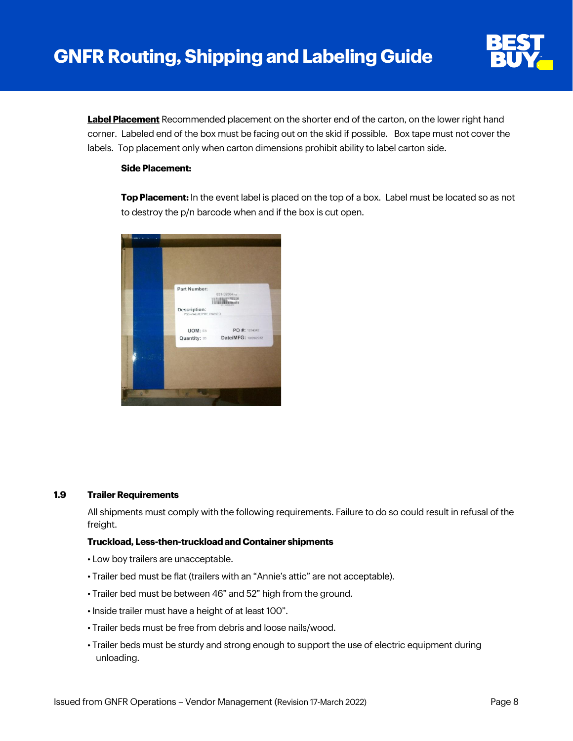

**Label Placement** Recommended placement on the shorter end of the carton, on the lower right hand corner. Labeled end of the box must be facing out on the skid if possible. Box tape must not cover the labels. Top placement only when carton dimensions prohibit ability to label carton side.

#### **Side Placement:**

**Top Placement:** In the event label is placed on the top of a box. Label must be located so as not to destroy the p/n barcode when and if the box is cut open.



#### **1.9 Trailer Requirements**

All shipments must comply with the following requirements. Failure to do so could result in refusal of the freight.

#### **Truckload, Less-then-truckload and Container shipments**

- Low boy trailers are unacceptable.
- Trailer bed must be flat (trailers with an "Annie's attic" are not acceptable).
- Trailer bed must be between 46" and 52" high from the ground.
- Inside trailer must have a height of at least 100".
- Trailer beds must be free from debris and loose nails/wood.
- Trailer beds must be sturdy and strong enough to support the use of electric equipment during unloading.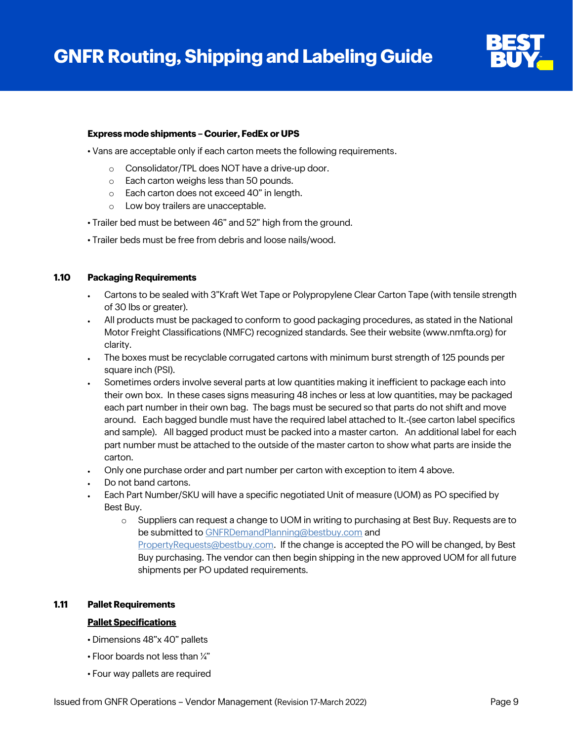

#### **Express mode shipments – Courier, FedEx or UPS**

• Vans are acceptable only if each carton meets the following requirements.

- o Consolidator/TPL does NOT have a drive-up door.
- o Each carton weighs less than 50 pounds.
- o Each carton does not exceed 40" in length.
- o Low boy trailers are unacceptable.
- Trailer bed must be between 46" and 52" high from the ground.
- Trailer beds must be free from debris and loose nails/wood.

#### **1.10 Packaging Requirements**

- Cartons to be sealed with 3"Kraft Wet Tape or Polypropylene Clear Carton Tape (with tensile strength of 30 lbs or greater).
- All products must be packaged to conform to good packaging procedures, as stated in the National Motor Freight Classifications (NMFC) recognized standards. See their website (www.nmfta.org) for clarity.
- The boxes must be recyclable corrugated cartons with minimum burst strength of 125 pounds per square inch (PSI).
- Sometimes orders involve several parts at low quantities making it inefficient to package each into their own box. In these cases signs measuring 48 inches or less at low quantities, may be packaged each part number in their own bag. The bags must be secured so that parts do not shift and move around. Each bagged bundle must have the required label attached to It.-(see carton label specifics and sample). All bagged product must be packed into a master carton. An additional label for each part number must be attached to the outside of the master carton to show what parts are inside the carton.
- Only one purchase order and part number per carton with exception to item 4 above.
- Do not band cartons.
- Each Part Number/SKU will have a specific negotiated Unit of measure (UOM) as PO specified by Best Buy.
	- o Suppliers can request a change to UOM in writing to purchasing at Best Buy. Requests are to be submitted t[o GNFRDemandPlanning@bestbuy.com](mailto:GNFRDemandPlanning@bestbuy.com) and [PropertyRequests@bestbuy.com.](mailto:PropertyRequests@bestbuy.com) If the change is accepted the PO will be changed, by Best Buy purchasing. The vendor can then begin shipping in the new approved UOM for all future shipments per PO updated requirements.

#### **1.11 Pallet Requirements**

#### **Pallet Specifications**

- Dimensions 48"x 40" pallets
- Floor boards not less than ¼"
- Four way pallets are required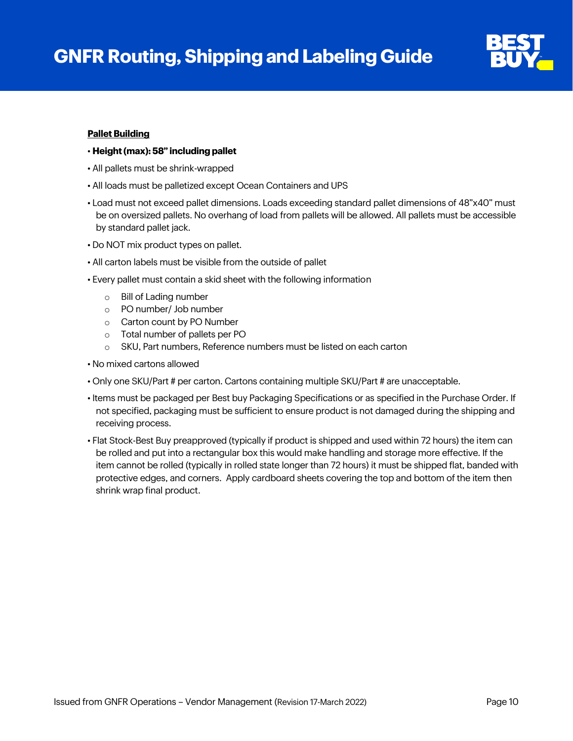

#### **Pallet Building**

#### • **Height (max): 58" including pallet**

- All pallets must be shrink-wrapped
- All loads must be palletized except Ocean Containers and UPS
- Load must not exceed pallet dimensions. Loads exceeding standard pallet dimensions of 48"x40" must be on oversized pallets. No overhang of load from pallets will be allowed. All pallets must be accessible by standard pallet jack.
- Do NOT mix product types on pallet.
- All carton labels must be visible from the outside of pallet
- Every pallet must contain a skid sheet with the following information
	- o Bill of Lading number
	- o PO number/ Job number
	- o Carton count by PO Number
	- o Total number of pallets per PO
	- o SKU, Part numbers, Reference numbers must be listed on each carton
- No mixed cartons allowed
- Only one SKU/Part # per carton. Cartons containing multiple SKU/Part # are unacceptable.
- Items must be packaged per Best buy Packaging Specifications or as specified in the Purchase Order. If not specified, packaging must be sufficient to ensure product is not damaged during the shipping and receiving process.
- Flat Stock-Best Buy preapproved (typically if product is shipped and used within 72 hours) the item can be rolled and put into a rectangular box this would make handling and storage more effective. If the item cannot be rolled (typically in rolled state longer than 72 hours) it must be shipped flat, banded with protective edges, and corners. Apply cardboard sheets covering the top and bottom of the item then shrink wrap final product.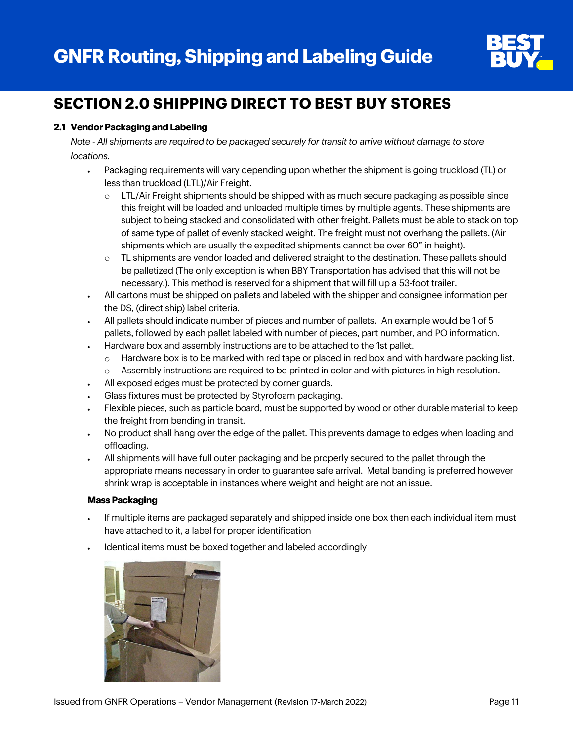

# **SECTION 2.0 SHIPPING DIRECT TO BEST BUY STORES**

#### **2.1 Vendor Packaging and Labeling**

*Note - All shipments are required to be packaged securely for transit to arrive without damage to store locations.*

- Packaging requirements will vary depending upon whether the shipment is going truckload (TL) or less than truckload (LTL)/Air Freight.
	- o LTL/Air Freight shipments should be shipped with as much secure packaging as possible since this freight will be loaded and unloaded multiple times by multiple agents. These shipments are subject to being stacked and consolidated with other freight. Pallets must be able to stack on top of same type of pallet of evenly stacked weight. The freight must not overhang the pallets. (Air shipments which are usually the expedited shipments cannot be over 60" in height).
	- o TL shipments are vendor loaded and delivered straight to the destination. These pallets should be palletized (The only exception is when BBY Transportation has advised that this will not be necessary.). This method is reserved for a shipment that will fill up a 53-foot trailer.
- All cartons must be shipped on pallets and labeled with the shipper and consignee information per the DS, (direct ship) label criteria.
- All pallets should indicate number of pieces and number of pallets. An example would be 1 of 5 pallets, followed by each pallet labeled with number of pieces, part number, and PO information.
- Hardware box and assembly instructions are to be attached to the 1st pallet.
	- $\circ$  Hardware box is to be marked with red tape or placed in red box and with hardware packing list.
	- o Assembly instructions are required to be printed in color and with pictures in high resolution.
- All exposed edges must be protected by corner guards.
- Glass fixtures must be protected by Styrofoam packaging.
- Flexible pieces, such as particle board, must be supported by wood or other durable material to keep the freight from bending in transit.
- No product shall hang over the edge of the pallet. This prevents damage to edges when loading and offloading.
- All shipments will have full outer packaging and be properly secured to the pallet through the appropriate means necessary in order to guarantee safe arrival. Metal banding is preferred however shrink wrap is acceptable in instances where weight and height are not an issue.

#### **Mass Packaging**

- If multiple items are packaged separately and shipped inside one box then each individual item must have attached to it, a label for proper identification
- Identical items must be boxed together and labeled accordingly

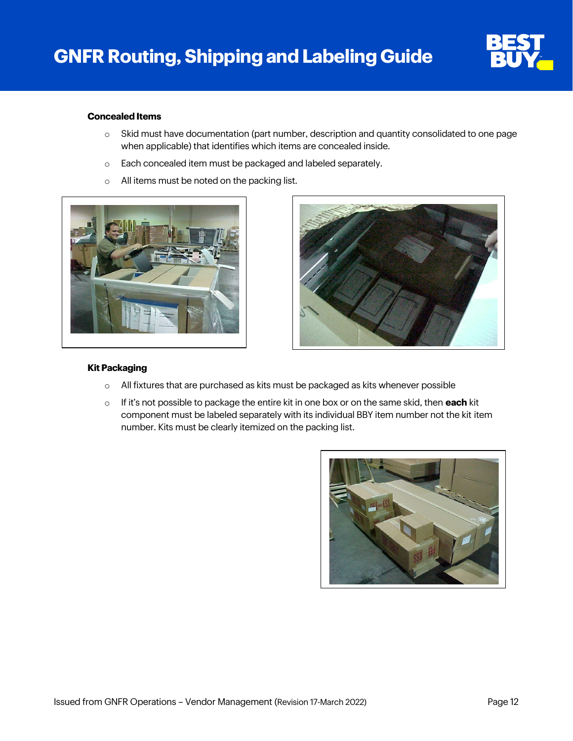

#### **Concealed Items**

- o Skid must have documentation (part number, description and quantity consolidated to one page when applicable) that identifies which items are concealed inside.
- o Each concealed item must be packaged and labeled separately.
- o All items must be noted on the packing list.





#### **Kit Packaging**

- $\circ$  All fixtures that are purchased as kits must be packaged as kits whenever possible
- o If it's not possible to package the entire kit in one box or on the same skid, then **each** kit component must be labeled separately with its individual BBY item number not the kit item number. Kits must be clearly itemized on the packing list.

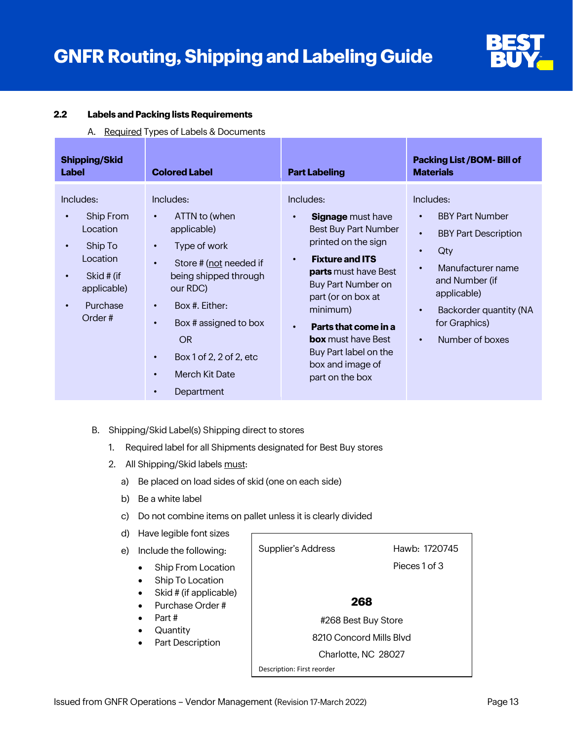

#### **2.2 Labels and Packing lists Requirements**

A. Required Types of Labels & Documents

| <b>Shipping/Skid</b><br><b>Label</b>                                                                                                   | <b>Colored Label</b>                                                                                                                                                                                                                                                                            | <b>Part Labeling</b>                                                                                                                                                                                                                                                                                                                                              | <b>Packing List /BOM- Bill of</b><br><b>Materials</b>                                                                                                                                                                                                                       |
|----------------------------------------------------------------------------------------------------------------------------------------|-------------------------------------------------------------------------------------------------------------------------------------------------------------------------------------------------------------------------------------------------------------------------------------------------|-------------------------------------------------------------------------------------------------------------------------------------------------------------------------------------------------------------------------------------------------------------------------------------------------------------------------------------------------------------------|-----------------------------------------------------------------------------------------------------------------------------------------------------------------------------------------------------------------------------------------------------------------------------|
| Includes:<br>Ship From<br>Location<br>Ship To<br>$\bullet$<br>Location<br>Skid # (if<br>applicable)<br>Purchase<br>$\bullet$<br>Order# | Includes:<br>ATTN to (when<br>applicable)<br>Type of work<br>$\bullet$<br>Store # (not needed if<br>$\bullet$<br>being shipped through<br>our RDC)<br>Box #. Either:<br>$\bullet$<br>Box # assigned to box<br><b>OR</b><br>Box 1 of 2, 2 of 2, etc<br>Merch Kit Date<br>$\bullet$<br>Department | Includes:<br><b>Signage</b> must have<br>$\bullet$<br>Best Buy Part Number<br>printed on the sign<br><b>Fixture and ITS</b><br>$\bullet$<br><b>parts</b> must have Best<br>Buy Part Number on<br>part (or on box at<br>minimum)<br>Parts that come in a<br>$\bullet$<br><b>box</b> must have Best<br>Buy Part label on the<br>box and image of<br>part on the box | Includes:<br><b>BBY Part Number</b><br>$\bullet$<br><b>BBY Part Description</b><br>$\bullet$<br>Qty<br>$\bullet$<br>Manufacturer name<br>$\bullet$<br>and Number (if<br>applicable)<br>Backorder quantity (NA<br>$\bullet$<br>for Graphics)<br>Number of boxes<br>$\bullet$ |

- B. Shipping/Skid Label(s) Shipping direct to stores
	- 1. Required label for all Shipments designated for Best Buy stores
	- 2. All Shipping/Skid labels must:
		- a) Be placed on load sides of skid (one on each side)
		- b) Be a white label
		- c) Do not combine items on pallet unless it is clearly divided
		- d) Have legible font sizes

```
e) Include the following:
• Ship From Location
Ship To Location
• Skid # (if applicable)
• Purchase Order #
• Part #
• Quantity
Part Description
                         Supplier's Address Hawb: 1720745
                                                         Pieces 1 of 3
                                               268
                                       #268 Best Buy Store
                                     8210 Concord Mills Blvd
                                       Charlotte, NC 28027
                         Description: First reorder
```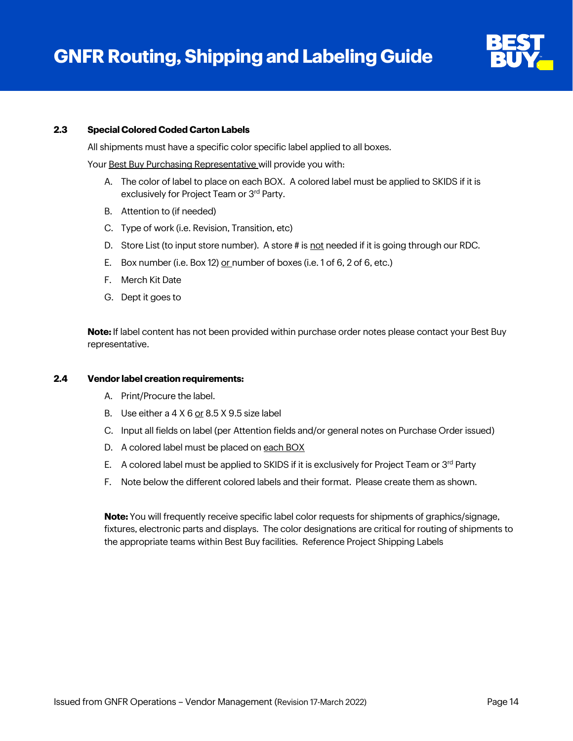

#### **2.3 Special Colored Coded Carton Labels**

All shipments must have a specific color specific label applied to all boxes.

Your Best Buy Purchasing Representative will provide you with:

- A. The color of label to place on each BOX. A colored label must be applied to SKIDS if it is exclusively for Project Team or 3<sup>rd</sup> Party.
- B. Attention to (if needed)
- C. Type of work (i.e. Revision, Transition, etc)
- D. Store List (to input store number). A store # is not needed if it is going through our RDC.
- E. Box number (i.e. Box 12) or number of boxes (i.e. 1 of 6, 2 of 6, etc.)
- F. Merch Kit Date
- G. Dept it goes to

**Note:** If label content has not been provided within purchase order notes please contact your Best Buy representative.

#### **2.4 Vendor label creation requirements:**

- A. Print/Procure the label.
- B. Use either a  $4 \times 6$  or  $8.5 \times 9.5$  size label
- C. Input all fields on label (per Attention fields and/or general notes on Purchase Order issued)
- D. A colored label must be placed on each BOX
- E. A colored label must be applied to SKIDS if it is exclusively for Project Team or  $3<sup>rd</sup>$  Party
- F. Note below the different colored labels and their format. Please create them as shown.

**Note:** You will frequently receive specific label color requests for shipments of graphics/signage, fixtures, electronic parts and displays. The color designations are critical for routing of shipments to the appropriate teams within Best Buy facilities. Reference Project Shipping Labels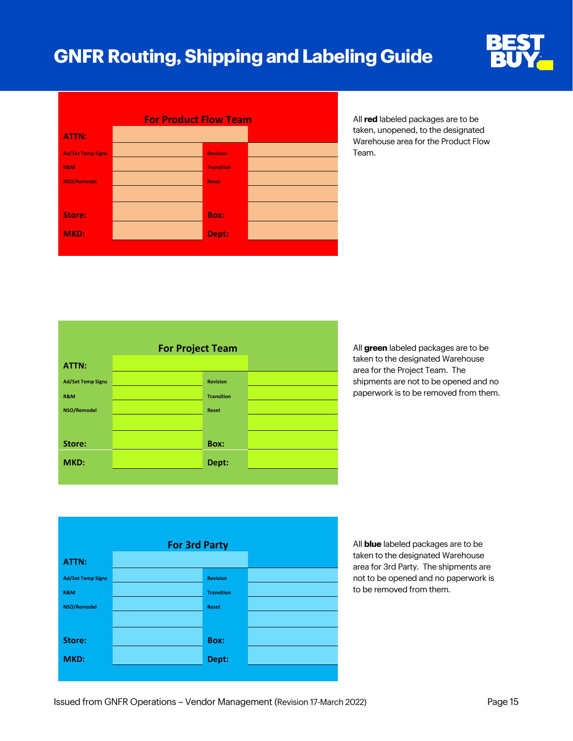



taken, unopened, to the designated Warehouse area for the Product Flow Team.

|                          | <b>For Project Team</b> |  |
|--------------------------|-------------------------|--|
| ATTN:                    |                         |  |
| <b>Ad/Set Temp Signs</b> | <b>Revision</b>         |  |
| <b>R&amp;M</b>           | <b>Transition</b>       |  |
| NSO/Remodel              | <b>Reset</b>            |  |
|                          |                         |  |
| Store:                   | Box:                    |  |
| MKD:                     | Dept:                   |  |
|                          |                         |  |

All **green** labeled packages are to be taken to the designated Warehouse area for the Project Team. The shipments are not to be opened and no paperwork is to be removed from them.

|                          | <b>For 3rd Party</b> |                   |  |  |  |
|--------------------------|----------------------|-------------------|--|--|--|
| ATTN:                    |                      |                   |  |  |  |
| <b>Ad/Set Temp Signs</b> |                      | <b>Revision</b>   |  |  |  |
| R&M                      |                      | <b>Transition</b> |  |  |  |
| <b>NSO/Remodel</b>       |                      | <b>Reset</b>      |  |  |  |
|                          |                      |                   |  |  |  |
| Store:                   |                      | <b>Box:</b>       |  |  |  |
| MKD:                     |                      | Dept:             |  |  |  |
|                          |                      |                   |  |  |  |

All **blue** labeled packages are to be taken to the designated Warehouse area for 3rd Party. The shipments are not to be opened and no paperwork is to be removed from them.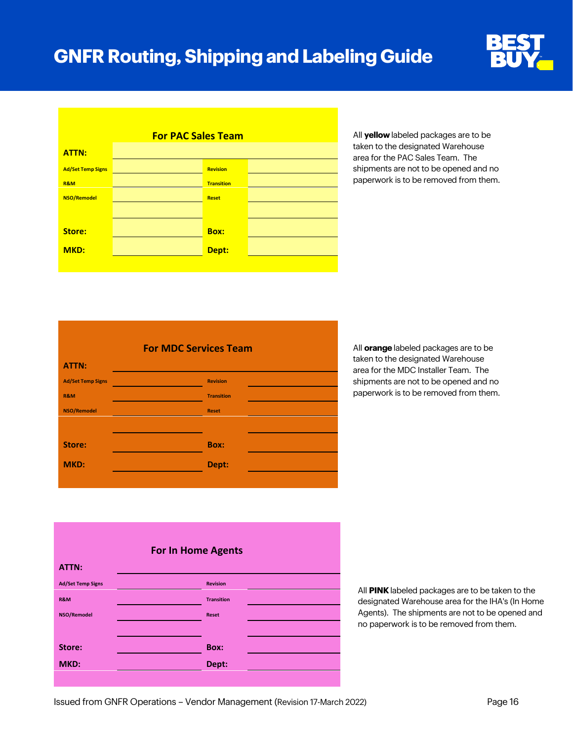

|                          | <b>For PAC Sales Team</b> |                   |  |
|--------------------------|---------------------------|-------------------|--|
| <b>ATTN:</b>             |                           |                   |  |
| <b>Ad/Set Temp Signs</b> |                           | <b>Revision</b>   |  |
| <b>R&amp;M</b>           |                           | <b>Transition</b> |  |
| <b>NSO/Remodel</b>       |                           | <b>Reset</b>      |  |
|                          |                           |                   |  |
| Store:                   |                           | <b>Box:</b>       |  |
| MKD:                     |                           | Dept:             |  |
|                          |                           |                   |  |

All **yellow** labeled packages are to be taken to the designated Warehouse area for the PAC Sales Team. The shipments are not to be opened and no paperwork is to be removed from them.

|                          | <b>For MDC Services Team</b> |  |
|--------------------------|------------------------------|--|
| ATTN:                    |                              |  |
| <b>Ad/Set Temp Signs</b> | <b>Revision</b>              |  |
| <b>R&amp;M</b>           | <b>Transition</b>            |  |
| <b>NSO/Remodel</b>       | <b>Reset</b>                 |  |
|                          |                              |  |
| Store:                   | <b>Box:</b>                  |  |
| MKD:                     | Dept:                        |  |
|                          |                              |  |

All **orange** labeled packages are to be taken to the designated Warehouse area for the MDC Installer Team. The shipments are not to be opened and no paperwork is to be removed from them.

|                          | <b>For In Home Agents</b> |  |  |  |  |
|--------------------------|---------------------------|--|--|--|--|
| ATTN:                    |                           |  |  |  |  |
| <b>Ad/Set Temp Signs</b> | <b>Revision</b>           |  |  |  |  |
| R&M                      | <b>Transition</b>         |  |  |  |  |
| NSO/Remodel              | <b>Reset</b>              |  |  |  |  |
|                          |                           |  |  |  |  |
| Store:                   | Box:                      |  |  |  |  |
| MKD:                     | Dept:                     |  |  |  |  |
|                          |                           |  |  |  |  |

All **PINK** labeled packages are to be taken to the designated Warehouse area for the IHA's (In Home Agents). The shipments are not to be opened and no paperwork is to be removed from them.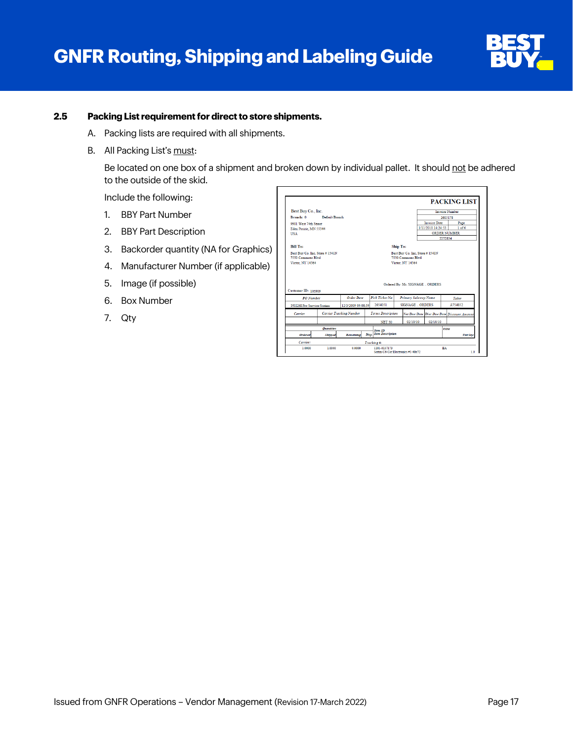

#### **2.5 Packing List requirement for direct to store shipments.**

- A. Packing lists are required with all shipments.
- B. All Packing List's must:

Be located on one box of a shipment and broken down by individual pallet. It should not be adhered to the outside of the skid.

Include the following:

- 1. BBY Part Number
- 2. BBY Part Description
- 3. Backorder quantity (NA for Graphics)
- 4. Manufacturer Number (if applicable)
- 5. Image (if possible)
- 6. Box Number
- 7. Qty

| Best Buy Co., Inc.                    |                   |                                |                          |                     |                       |                                 | <b>Invoice Number</b>                      |
|---------------------------------------|-------------------|--------------------------------|--------------------------|---------------------|-----------------------|---------------------------------|--------------------------------------------|
| Branch: 0                             | Default Branch    |                                |                          |                     |                       |                                 | 2605178                                    |
| 9901 West 74th Street                 |                   |                                |                          |                     |                       | <b>Invoice Date</b>             | Page                                       |
| Eden Prairie, MN 55344                |                   |                                |                          |                     |                       | 1/11/2010 14:24:53              | 1 <sub>of6</sub>                           |
| USA                                   |                   |                                |                          | <b>ORDER NUMBER</b> |                       |                                 |                                            |
|                                       |                   |                                |                          |                     |                       |                                 | 2252834                                    |
| <b>Bill To:</b>                       |                   |                                |                          | Ship To:            |                       |                                 |                                            |
| 7550 Commons Blud<br>Victor, NY 14564 |                   |                                |                          |                     | 7550 Commons Blvd.    |                                 |                                            |
|                                       |                   |                                |                          | Victor, NY 14564    |                       | Ordered By: Mr. SIGNAGE  ORDERS |                                            |
| <b>PO</b> Number                      |                   | Order Date                     | Pick Ticket No.          |                     | Primary Salesrep Name |                                 | Taker                                      |
| N0226I Pro Service-Scrims             |                   | 12/3/2009 09:08:59             | 2654051                  |                     | SIGNAGE  ORDERS       |                                 | A754852                                    |
| Corrier                               |                   | <b>Carrier Tracking Number</b> | <b>Terms Description</b> |                     |                       |                                 | Net Due Date Disc Due Date Discount Amount |
|                                       |                   |                                | <b>NET 30</b>            |                     | 02/10/10              | 02/10/10                        |                                            |
| <b>Customer ID: 105909</b>            | <b>Ouannities</b> |                                | <b>Item ID</b>           |                     |                       |                                 | <b>UOM</b>                                 |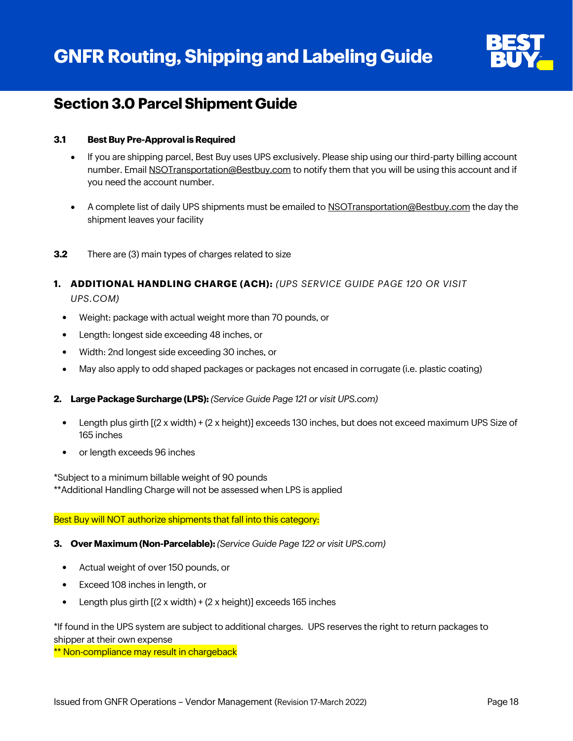

## **Section 3.0 Parcel Shipment Guide**

#### **3.1 Best Buy Pre-Approval is Required**

- If you are shipping parcel, Best Buy uses UPS exclusively. Please ship using our third-party billing account number. Email [NSOTransportation@Bestbuy.com](mailto:NSOTransportation@Bestbuy.com) to notify them that you will be using this account and if you need the account number.
- A complete list of daily UPS shipments must be emailed t[o NSOTransportation@Bestbuy.com](mailto:NSOTransportation@Bestbuy.com) the day the shipment leaves your facility
- **3.2** There are (3) main types of charges related to size
- **1. ADDITIONAL HANDLING CHARGE (ACH):** *(UPS SERVICE GUIDE PAGE 120 OR VISIT UPS.COM)*
	- Weight: package with actual weight more than 70 pounds, or
	- Length: longest side exceeding 48 inches, or
	- Width: 2nd longest side exceeding 30 inches, or
	- May also apply to odd shaped packages or packages not encased in corrugate (i.e. plastic coating)

#### **2. Large Package Surcharge (LPS):** *(Service Guide Page 121 or visit UPS.com)*

- Length plus girth  $(2 \times \text{width}) + (2 \times \text{height})$  exceeds 130 inches, but does not exceed maximum UPS Size of 165 inches
- or length exceeds 96 inches

\*Subject to a minimum billable weight of 90 pounds \*\*Additional Handling Charge will not be assessed when LPS is applied

#### Best Buy will NOT authorize shipments that fall into this category:

#### **3. Over Maximum (Non-Parcelable):** *(Service Guide Page 122 or visit UPS.com)*

- Actual weight of over 150 pounds, or
- Exceed 108 inches in length, or
- Length plus girth [(2 x width) + (2 x height)] exceeds 165 inches

\*If found in the UPS system are subject to additional charges. UPS reserves the right to return packages to shipper at their own expense

\*\* Non-compliance may result in chargeback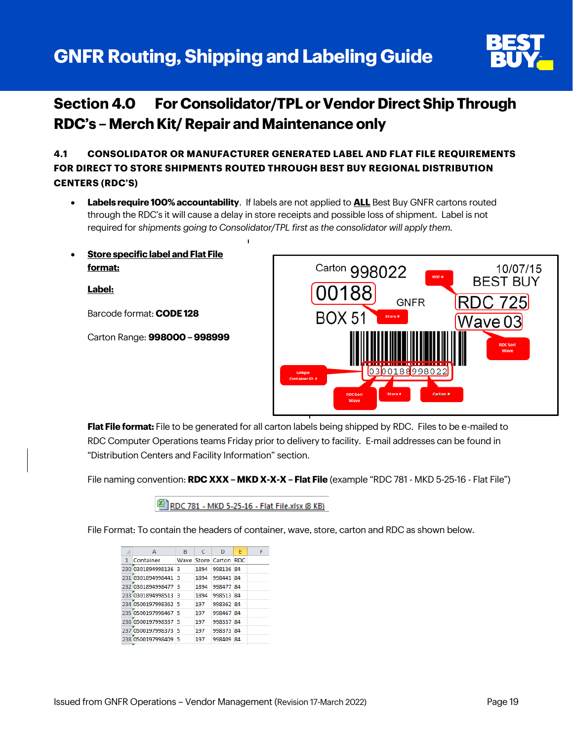# **GNFR Routing, Shipping and Labeling Guide**



# **Section 4.0 For Consolidator/TPL or Vendor Direct Ship Through RDC's – Merch Kit/ Repair and Maintenance only**

**4.1 CONSOLIDATOR OR MANUFACTURER GENERATED LABEL AND FLAT FILE REQUIREMENTS FOR DIRECT TO STORE SHIPMENTS ROUTED THROUGH BEST BUY REGIONAL DISTRIBUTION CENTERS (RDC'S)**

- **Labels require 100% accountability**. If labels are not applied to **ALL** Best Buy GNFR cartons routed through the RDC's it will cause a delay in store receipts and possible loss of shipment. Label is not required for *shipments going to Consolidator/TPL first as the consolidator will apply them.*
- **Store specific label and Flat File format:**

**Label:**

Barcode format: **CODE 128**

Carton Range: **998000 – 998999**



**Flat File format:** File to be generated for all carton labels being shipped by RDC. Files to be e-mailed to RDC Computer Operations teams Friday prior to delivery to facility. E-mail addresses can be found in "Distribution Centers and Facility Information" section.

File naming convention: **RDC XXX – MKD X-X-X – Flat File** (example "RDC 781 - MKD 5-25-16 - Flat File")

RDC 781 - MKD 5-25-16 - Flat File.xlsx (8 KB)

File Format: To contain the headers of container, wave, store, carton and RDC as shown below.

|   | А                   | B  | C    | D                     | E | F |
|---|---------------------|----|------|-----------------------|---|---|
| 1 | Container           |    |      | Wave Store Carton RDC |   |   |
|   | 230 0301894998136 3 |    | 1894 | 998136 84             |   |   |
|   | 231 0301894998441   | З  | 1894 | 998441 84             |   |   |
|   | 232 0301894998477 3 |    | 1894 | 998477 84             |   |   |
|   | 233 0301894998513   | -3 | 1894 | 998513 84             |   |   |
|   | 234 0500197998362 5 |    | 197  | 998362 84             |   |   |
|   | 235 0500197998467 5 |    | 197  | 998467 84             |   |   |
|   | 236 0500197998337 5 |    | 197  | 998337 84             |   |   |
|   | 237 0500197998373   | -5 | 197  | 998373 84             |   |   |
|   | 238 0500197998409 5 |    | 197  | 998409 84             |   |   |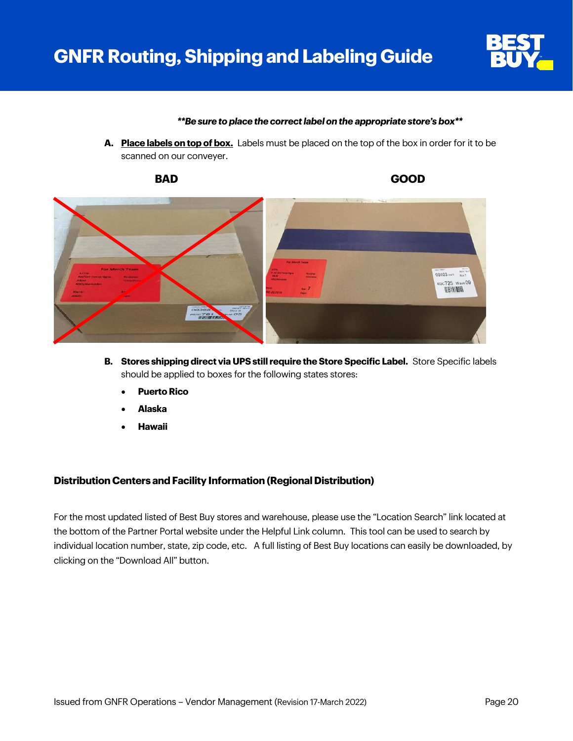

#### *\*\*Be sure to place the correct label on the appropriate store's box\*\**

**A. Place labels on top of box.** Labels must be placed on the top of the box in order for it to be scanned on our conveyer.



- **B. Stores shipping direct via UPS still require the Store Specific Label.** Store Specific labels should be applied to boxes for the following states stores:
	- **Puerto Rico**
	- **Alaska**
	- **Hawaii**

#### **Distribution Centers and Facility Information (Regional Distribution)**

For the most updated listed of Best Buy stores and warehouse, please use the "Location Search" link located at the bottom of the Partner Portal website under the Helpful Link column. This tool can be used to search by individual location number, state, zip code, etc. A full listing of Best Buy locations can easily be downloaded, by clicking on the "Download All" button.